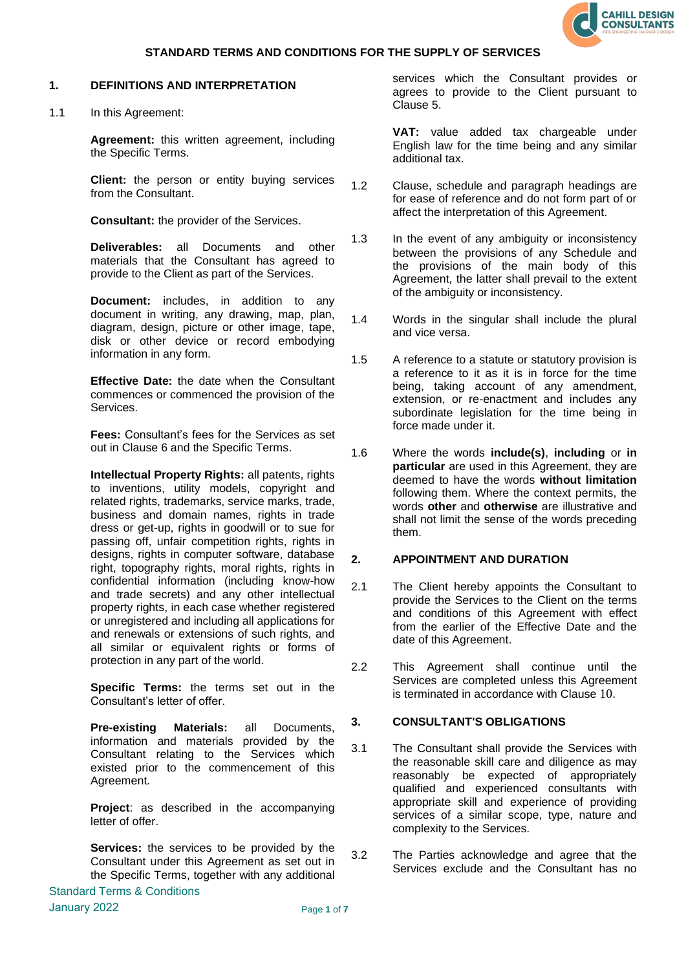

### **1. DEFINITIONS AND INTERPRETATION**

1.1 In this Agreement:

**Agreement:** this written agreement, including the Specific Terms.

**Client:** the person or entity buying services from the Consultant.

**Consultant:** the provider of the Services.

**Deliverables:** all Documents and other materials that the Consultant has agreed to provide to the Client as part of the Services.

**Document:** includes, in addition to any document in writing, any drawing, map, plan, diagram, design, picture or other image, tape, disk or other device or record embodying information in any form.

**Effective Date:** the date when the Consultant commences or commenced the provision of the Services.

**Fees:** Consultant's fees for the Services as set out in Clause 6 and the Specific Terms.

**Intellectual Property Rights:** all patents, rights to inventions, utility models, copyright and related rights, trademarks, service marks, trade, business and domain names, rights in trade dress or get-up, rights in goodwill or to sue for passing off, unfair competition rights, rights in designs, rights in computer software, database right, topography rights, moral rights, rights in confidential information (including know-how and trade secrets) and any other intellectual property rights, in each case whether registered or unregistered and including all applications for and renewals or extensions of such rights, and all similar or equivalent rights or forms of protection in any part of the world.

**Specific Terms:** the terms set out in the Consultant's letter of offer.

**Pre-existing Materials:** all Documents, information and materials provided by the Consultant relating to the Services which existed prior to the commencement of this Agreement.

**Project**: as described in the accompanying letter of offer.

**Services:** the services to be provided by the Consultant under this Agreement as set out in the Specific Terms, together with any additional services which the Consultant provides or agrees to provide to the Client pursuant to Clause 5.

**VAT:** value added tax chargeable under English law for the time being and any similar additional tax.

- 1.2 Clause, schedule and paragraph headings are for ease of reference and do not form part of or affect the interpretation of this Agreement.
- 1.3 In the event of any ambiguity or inconsistency between the provisions of any Schedule and the provisions of the main body of this Agreement, the latter shall prevail to the extent of the ambiguity or inconsistency.
- 1.4 Words in the singular shall include the plural and vice versa.
- 1.5 A reference to a statute or statutory provision is a reference to it as it is in force for the time being, taking account of any amendment, extension, or re-enactment and includes any subordinate legislation for the time being in force made under it.
- 1.6 Where the words **include(s)**, **including** or **in particular** are used in this Agreement, they are deemed to have the words **without limitation** following them. Where the context permits, the words **other** and **otherwise** are illustrative and shall not limit the sense of the words preceding them.

# **2. APPOINTMENT AND DURATION**

- 2.1 The Client hereby appoints the Consultant to provide the Services to the Client on the terms and conditions of this Agreement with effect from the earlier of the Effective Date and the date of this Agreement.
- 2.2 This Agreement shall continue until the Services are completed unless this Agreement is terminated in accordance with Clause [10](#page-4-0).

# **3. CONSULTANT'S OBLIGATIONS**

- 3.1 The Consultant shall provide the Services with the reasonable skill care and diligence as may reasonably be expected of appropriately qualified and experienced consultants with appropriate skill and experience of providing services of a similar scope, type, nature and complexity to the Services.
- 3.2 The Parties acknowledge and agree that the Services exclude and the Consultant has no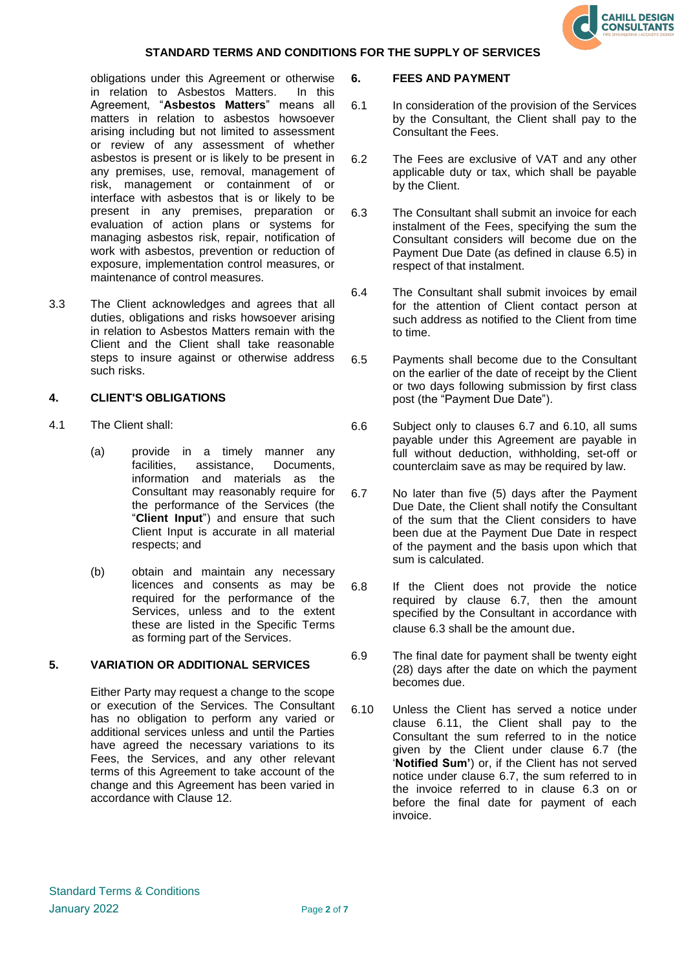

obligations under this Agreement or otherwise in relation to Asbestos Matters. In this Agreement, "**Asbestos Matters**" means all matters in relation to asbestos howsoever arising including but not limited to assessment or review of any assessment of whether asbestos is present or is likely to be present in any premises, use, removal, management of risk, management or containment of or interface with asbestos that is or likely to be present in any premises, preparation or evaluation of action plans or systems for managing asbestos risk, repair, notification of work with asbestos, prevention or reduction of exposure, implementation control measures, or maintenance of control measures.

3.3 The Client acknowledges and agrees that all duties, obligations and risks howsoever arising in relation to Asbestos Matters remain with the Client and the Client shall take reasonable steps to insure against or otherwise address such risks.

### **4. CLIENT'S OBLIGATIONS**

- 4.1 The Client shall:
	- (a) provide in a timely manner any facilities, assistance, Documents, information and materials as the Consultant may reasonably require for the performance of the Services (the "**Client Input**") and ensure that such Client Input is accurate in all material respects; and
	- (b) obtain and maintain any necessary licences and consents as may be required for the performance of the Services, unless and to the extent these are listed in the Specific Terms as forming part of the Services.

### **5. VARIATION OR ADDITIONAL SERVICES**

Either Party may request a change to the scope or execution of the Services. The Consultant has no obligation to perform any varied or additional services unless and until the Parties have agreed the necessary variations to its Fees, the Services, and any other relevant terms of this Agreement to take account of the change and this Agreement has been varied in accordance with Clause 12.

#### **6. FEES AND PAYMENT**

- 6.1 In consideration of the provision of the Services by the Consultant, the Client shall pay to the Consultant the Fees.
- 6.2 The Fees are exclusive of VAT and any other applicable duty or tax, which shall be payable by the Client.
- 6.3 The Consultant shall submit an invoice for each instalment of the Fees, specifying the sum the Consultant considers will become due on the Payment Due Date (as defined in clause 6.5) in respect of that instalment.
- 6.4 The Consultant shall submit invoices by email for the attention of Client contact person at such address as notified to the Client from time to time.
- 6.5 Payments shall become due to the Consultant on the earlier of the date of receipt by the Client or two days following submission by first class post (the "Payment Due Date").
- 6.6 Subject only to clauses 6.7 and 6.10, all sums payable under this Agreement are payable in full without deduction, withholding, set-off or counterclaim save as may be required by law.
- 6.7 No later than five (5) days after the Payment Due Date, the Client shall notify the Consultant of the sum that the Client considers to have been due at the Payment Due Date in respect of the payment and the basis upon which that sum is calculated.
- 6.8 If the Client does not provide the notice required by clause 6.7, then the amount specified by the Consultant in accordance with clause 6.3 shall be the amount due.
- 6.9 The final date for payment shall be twenty eight (28) days after the date on which the payment becomes due.
- 6.10 Unless the Client has served a notice under clause 6.11, the Client shall pay to the Consultant the sum referred to in the notice given by the Client under clause 6.7 (the '**Notified Sum'**) or, if the Client has not served notice under clause 6.7, the sum referred to in the invoice referred to in clause 6.3 on or before the final date for payment of each invoice.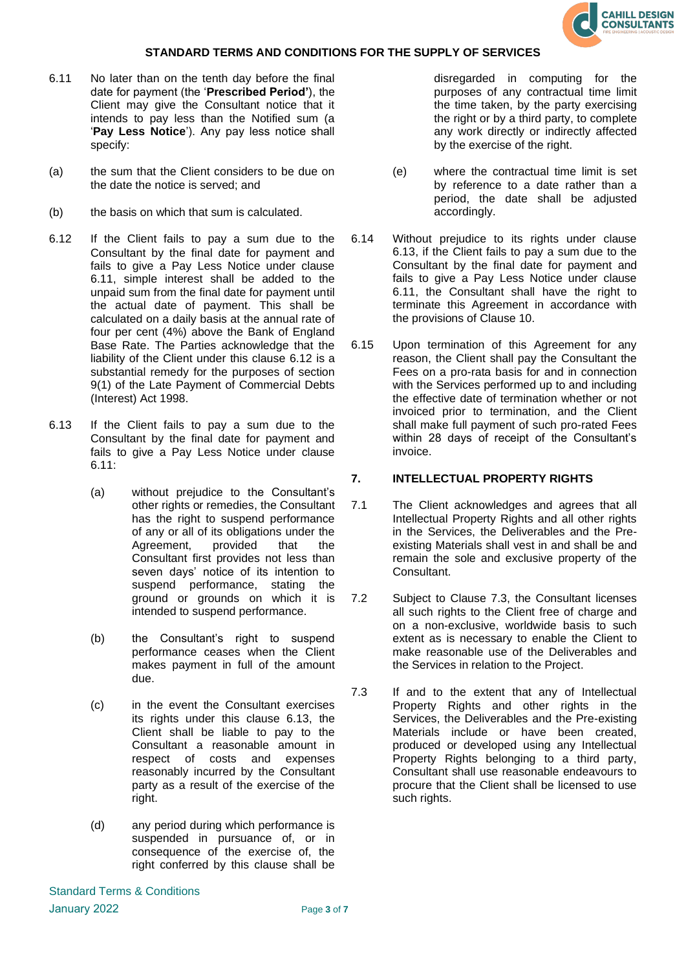

- 6.11 No later than on the tenth day before the final date for payment (the '**Prescribed Period'**), the Client may give the Consultant notice that it intends to pay less than the Notified sum (a '**Pay Less Notice**'). Any pay less notice shall specify:
- (a) the sum that the Client considers to be due on the date the notice is served; and
- (b) the basis on which that sum is calculated.
- 6.12 If the Client fails to pay a sum due to the Consultant by the final date for payment and fails to give a Pay Less Notice under clause 6.11, simple interest shall be added to the unpaid sum from the final date for payment until the actual date of payment. This shall be calculated on a daily basis at the annual rate of four per cent (4%) above the Bank of England Base Rate. The Parties acknowledge that the liability of the Client under this clause 6.12 is a substantial remedy for the purposes of section 9(1) of the Late Payment of Commercial Debts (Interest) Act 1998.
- 6.13 If the Client fails to pay a sum due to the Consultant by the final date for payment and fails to give a Pay Less Notice under clause 6.11:
	- (a) without prejudice to the Consultant's other rights or remedies, the Consultant has the right to suspend performance of any or all of its obligations under the Agreement, provided that the Consultant first provides not less than seven days' notice of its intention to suspend performance, stating the ground or grounds on which it is intended to suspend performance.
	- (b) the Consultant's right to suspend performance ceases when the Client makes payment in full of the amount due.
	- (c) in the event the Consultant exercises its rights under this clause 6.13, the Client shall be liable to pay to the Consultant a reasonable amount in respect of costs and expenses reasonably incurred by the Consultant party as a result of the exercise of the right.
	- (d) any period during which performance is suspended in pursuance of, or in consequence of the exercise of, the right conferred by this clause shall be

disregarded in computing for the purposes of any contractual time limit the time taken, by the party exercising the right or by a third party, to complete any work directly or indirectly affected by the exercise of the right.

- (e) where the contractual time limit is set by reference to a date rather than a period, the date shall be adjusted accordingly.
- 6.14 Without prejudice to its rights under clause 6.13, if the Client fails to pay a sum due to the Consultant by the final date for payment and fails to give a Pay Less Notice under clause 6.11, the Consultant shall have the right to terminate this Agreement in accordance with the provisions of Clause 10.
- 6.15 Upon termination of this Agreement for any reason, the Client shall pay the Consultant the Fees on a pro-rata basis for and in connection with the Services performed up to and including the effective date of termination whether or not invoiced prior to termination, and the Client shall make full payment of such pro-rated Fees within 28 days of receipt of the Consultant's invoice.

# **7. INTELLECTUAL PROPERTY RIGHTS**

- 7.1 The Client acknowledges and agrees that all Intellectual Property Rights and all other rights in the Services, the Deliverables and the Preexisting Materials shall vest in and shall be and remain the sole and exclusive property of the Consultant.
- 7.2 Subject to Clause 7.3, the Consultant licenses all such rights to the Client free of charge and on a non-exclusive, worldwide basis to such extent as is necessary to enable the Client to make reasonable use of the Deliverables and the Services in relation to the Project.
- 7.3 If and to the extent that any of Intellectual Property Rights and other rights in the Services, the Deliverables and the Pre-existing Materials include or have been created, produced or developed using any Intellectual Property Rights belonging to a third party, Consultant shall use reasonable endeavours to procure that the Client shall be licensed to use such rights.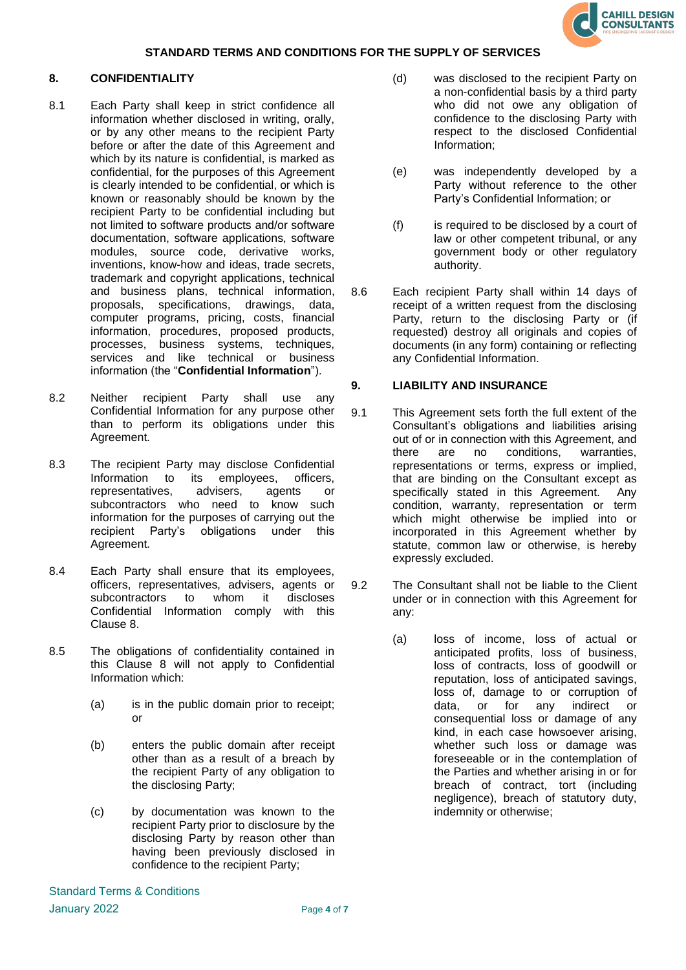

# **8. CONFIDENTIALITY**

- 8.1 Each Party shall keep in strict confidence all information whether disclosed in writing, orally, or by any other means to the recipient Party before or after the date of this Agreement and which by its nature is confidential, is marked as confidential, for the purposes of this Agreement is clearly intended to be confidential, or which is known or reasonably should be known by the recipient Party to be confidential including but not limited to software products and/or software documentation, software applications, software modules, source code, derivative works, inventions, know-how and ideas, trade secrets, trademark and copyright applications, technical and business plans, technical information, proposals, specifications, drawings, data, computer programs, pricing, costs, financial information, procedures, proposed products, processes, business systems, techniques, services and like technical or business information (the "**Confidential Information**").
- 8.2 Neither recipient Party shall use any Confidential Information for any purpose other than to perform its obligations under this Agreement.
- 8.3 The recipient Party may disclose Confidential Information to its employees, officers, representatives, advisers, agents or subcontractors who need to know such information for the purposes of carrying out the recipient Party's obligations under this Agreement.
- 8.4 Each Party shall ensure that its employees, officers, representatives, advisers, agents or subcontractors to whom it discloses Confidential Information comply with this Clause 8.
- 8.5 The obligations of confidentiality contained in this Clause 8 will not apply to Confidential Information which:
	- (a) is in the public domain prior to receipt; or
	- (b) enters the public domain after receipt other than as a result of a breach by the recipient Party of any obligation to the disclosing Party;
	- (c) by documentation was known to the recipient Party prior to disclosure by the disclosing Party by reason other than having been previously disclosed in confidence to the recipient Party;
- (d) was disclosed to the recipient Party on a non-confidential basis by a third party who did not owe any obligation of confidence to the disclosing Party with respect to the disclosed Confidential Information;
- (e) was independently developed by a Party without reference to the other Party's Confidential Information; or
- (f) is required to be disclosed by a court of law or other competent tribunal, or any government body or other regulatory authority.
- 8.6 Each recipient Party shall within 14 days of receipt of a written request from the disclosing Party, return to the disclosing Party or (if requested) destroy all originals and copies of documents (in any form) containing or reflecting any Confidential Information.

# **9. LIABILITY AND INSURANCE**

- 9.1 This Agreement sets forth the full extent of the Consultant's obligations and liabilities arising out of or in connection with this Agreement, and there are no conditions, warranties, representations or terms, express or implied, that are binding on the Consultant except as specifically stated in this Agreement. Any condition, warranty, representation or term which might otherwise be implied into or incorporated in this Agreement whether by statute, common law or otherwise, is hereby expressly excluded.
- 9.2 The Consultant shall not be liable to the Client under or in connection with this Agreement for any:
	- (a) loss of income, loss of actual or anticipated profits, loss of business, loss of contracts, loss of goodwill or reputation, loss of anticipated savings, loss of, damage to or corruption of data, or for any indirect or consequential loss or damage of any kind, in each case howsoever arising, whether such loss or damage was foreseeable or in the contemplation of the Parties and whether arising in or for breach of contract, tort (including negligence), breach of statutory duty, indemnity or otherwise;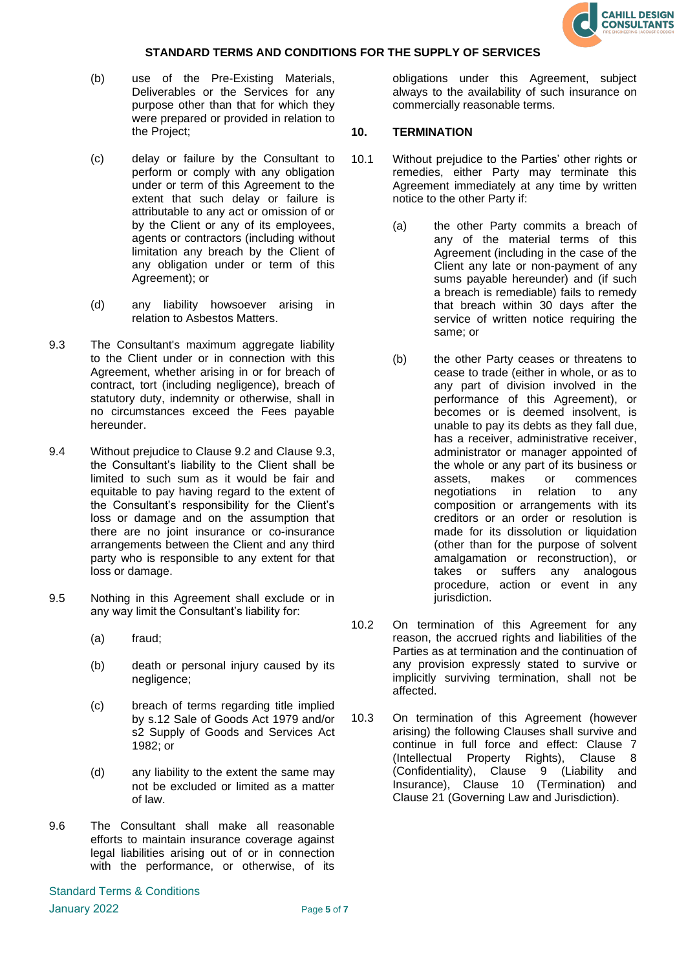

- (b) use of the Pre-Existing Materials, Deliverables or the Services for any purpose other than that for which they were prepared or provided in relation to the Project;
- (c) delay or failure by the Consultant to perform or comply with any obligation under or term of this Agreement to the extent that such delay or failure is attributable to any act or omission of or by the Client or any of its employees, agents or contractors (including without limitation any breach by the Client of any obligation under or term of this Agreement); or
- (d) any liability howsoever arising in relation to Asbestos Matters.
- 9.3 The Consultant's maximum aggregate liability to the Client under or in connection with this Agreement, whether arising in or for breach of contract, tort (including negligence), breach of statutory duty, indemnity or otherwise, shall in no circumstances exceed the Fees payable hereunder.
- 9.4 Without prejudice to Clause 9.2 and Clause 9.3, the Consultant's liability to the Client shall be limited to such sum as it would be fair and equitable to pay having regard to the extent of the Consultant's responsibility for the Client's loss or damage and on the assumption that there are no joint insurance or co-insurance arrangements between the Client and any third party who is responsible to any extent for that loss or damage.
- 9.5 Nothing in this Agreement shall exclude or in any way limit the Consultant's liability for:
	- (a) fraud;
	- (b) death or personal injury caused by its negligence;
	- (c) breach of terms regarding title implied by s.12 Sale of Goods Act 1979 and/or s2 Supply of Goods and Services Act 1982; or
	- (d) any liability to the extent the same may not be excluded or limited as a matter of law.
- 9.6 The Consultant shall make all reasonable efforts to maintain insurance coverage against legal liabilities arising out of or in connection with the performance, or otherwise, of its

obligations under this Agreement, subject always to the availability of such insurance on commercially reasonable terms.

## <span id="page-4-0"></span>**10. TERMINATION**

- 10.1 Without prejudice to the Parties' other rights or remedies, either Party may terminate this Agreement immediately at any time by written notice to the other Party if:
	- (a) the other Party commits a breach of any of the material terms of this Agreement (including in the case of the Client any late or non-payment of any sums payable hereunder) and (if such a breach is remediable) fails to remedy that breach within 30 days after the service of written notice requiring the same; or
	- (b) the other Party ceases or threatens to cease to trade (either in whole, or as to any part of division involved in the performance of this Agreement), or becomes or is deemed insolvent, is unable to pay its debts as they fall due, has a receiver, administrative receiver, administrator or manager appointed of the whole or any part of its business or assets, makes or commences negotiations in relation to any composition or arrangements with its creditors or an order or resolution is made for its dissolution or liquidation (other than for the purpose of solvent amalgamation or reconstruction), or takes or suffers any analogous procedure, action or event in any jurisdiction.
- 10.2 On termination of this Agreement for any reason, the accrued rights and liabilities of the Parties as at termination and the continuation of any provision expressly stated to survive or implicitly surviving termination, shall not be affected.
- 10.3 On termination of this Agreement (however arising) the following Clauses shall survive and continue in full force and effect: Clause 7 (Intellectual Property Rights), Clause 8 (Confidentiality), Clause 9 (Liability and Insurance), Clause 10 (Termination) and Clause 21 (Governing Law and Jurisdiction).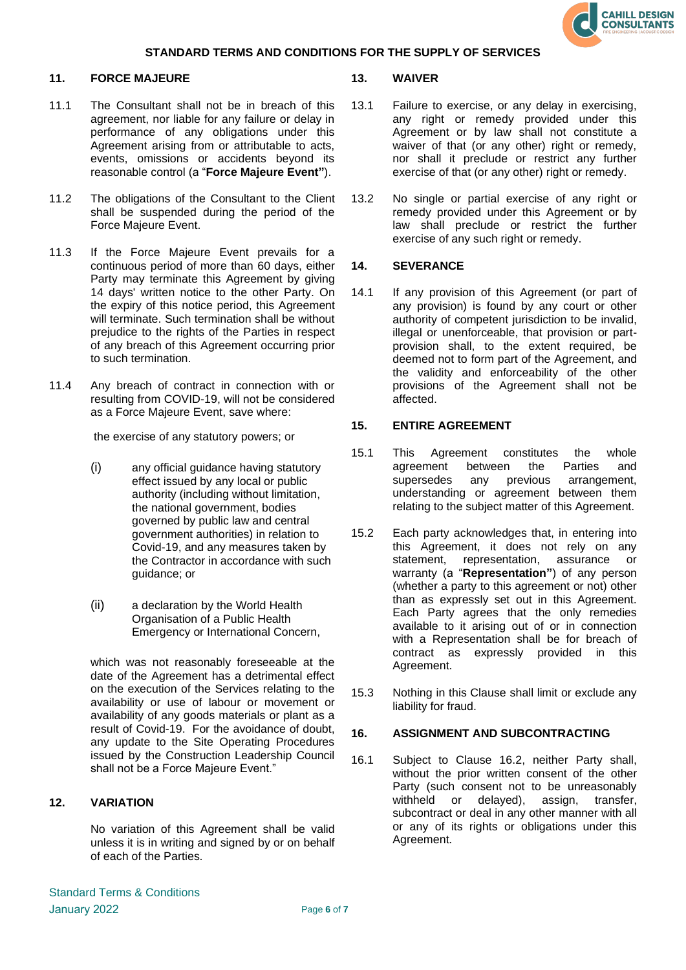

#### **11. FORCE MAJEURE**

- 11.1 The Consultant shall not be in breach of this agreement, nor liable for any failure or delay in performance of any obligations under this Agreement arising from or attributable to acts, events, omissions or accidents beyond its reasonable control (a "**Force Majeure Event"**).
- 11.2 The obligations of the Consultant to the Client shall be suspended during the period of the Force Majeure Event.
- 11.3 If the Force Majeure Event prevails for a continuous period of more than 60 days, either Party may terminate this Agreement by giving 14 days' written notice to the other Party. On the expiry of this notice period, this Agreement will terminate. Such termination shall be without prejudice to the rights of the Parties in respect of any breach of this Agreement occurring prior to such termination.
- 11.4 Any breach of contract in connection with or resulting from COVID-19, will not be considered as a Force Majeure Event, save where:

the exercise of any statutory powers; or

- (i) any official guidance having statutory effect issued by any local or public authority (including without limitation, the national government, bodies governed by public law and central government authorities) in relation to Covid-19, and any measures taken by the Contractor in accordance with such guidance; or
- (ii) a declaration by the World Health Organisation of a Public Health Emergency or International Concern,

which was not reasonably foreseeable at the date of the Agreement has a detrimental effect on the execution of the Services relating to the availability or use of labour or movement or availability of any goods materials or plant as a result of Covid-19. For the avoidance of doubt, any update to the Site Operating Procedures issued by the Construction Leadership Council shall not be a Force Majeure Event."

# **12. VARIATION**

No variation of this Agreement shall be valid unless it is in writing and signed by or on behalf of each of the Parties.

### **13. WAIVER**

- 13.1 Failure to exercise, or any delay in exercising, any right or remedy provided under this Agreement or by law shall not constitute a waiver of that (or any other) right or remedy, nor shall it preclude or restrict any further exercise of that (or any other) right or remedy.
- 13.2 No single or partial exercise of any right or remedy provided under this Agreement or by law shall preclude or restrict the further exercise of any such right or remedy.

### **14. SEVERANCE**

14.1 If any provision of this Agreement (or part of any provision) is found by any court or other authority of competent jurisdiction to be invalid, illegal or unenforceable, that provision or partprovision shall, to the extent required, be deemed not to form part of the Agreement, and the validity and enforceability of the other provisions of the Agreement shall not be affected.

# **15. ENTIRE AGREEMENT**

- 15.1 This Agreement constitutes the whole agreement between the Parties and<br>supersedes any previous arrangement. supersedes any previous arrangement, understanding or agreement between them relating to the subject matter of this Agreement.
- 15.2 Each party acknowledges that, in entering into this Agreement, it does not rely on any statement, representation, assurance or warranty (a "**Representation"**) of any person (whether a party to this agreement or not) other than as expressly set out in this Agreement. Each Party agrees that the only remedies available to it arising out of or in connection with a Representation shall be for breach of contract as expressly provided in this Agreement.
- 15.3 Nothing in this Clause shall limit or exclude any liability for fraud.

### **16. ASSIGNMENT AND SUBCONTRACTING**

16.1 Subject to Clause 16.2, neither Party shall, without the prior written consent of the other Party (such consent not to be unreasonably withheld or delayed), assign, transfer, subcontract or deal in any other manner with all or any of its rights or obligations under this Agreement.